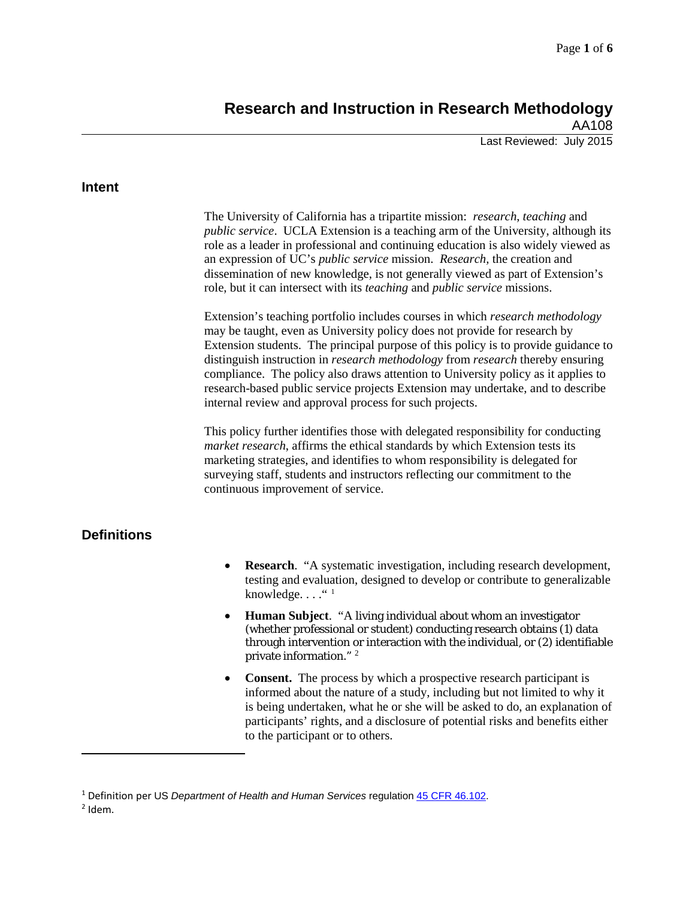# **Research and Instruction in Research Methodology** AA108

Last Reviewed: July 2015

# **Intent**

The University of California has a tripartite mission: *research*, *teaching* and *public service*. UCLA Extension is a teaching arm of the University, although its role as a leader in professional and continuing education is also widely viewed as an expression of UC's *public service* mission. *Research,* the creation and dissemination of new knowledge, is not generally viewed as part of Extension's role, but it can intersect with its *teaching* and *public service* missions.

Extension's teaching portfolio includes courses in which *research methodology* may be taught, even as University policy does not provide for research by Extension students. The principal purpose of this policy is to provide guidance to distinguish instruction in *research methodology* from *research* thereby ensuring compliance. The policy also draws attention to University policy as it applies to research-based public service projects Extension may undertake, and to describe internal review and approval process for such projects.

This policy further identifies those with delegated responsibility for conducting *market research*, affirms the ethical standards by which Extension tests its marketing strategies, and identifies to whom responsibility is delegated for surveying staff, students and instructors reflecting our commitment to the continuous improvement of service.

# **Definitions**

- **Research**. "A systematic investigation, including research development, testing and evaluation, designed to develop or contribute to generalizable knowledge.  $\ldots$ ."<sup>[1](#page-0-0)</sup>
- **Human Subject**. "A living individual about whom an investigator (whether professional or student) conducting research obtains (1) data through intervention or interaction with the individual, or (2) identifiable private information." [2](#page-0-1)
- **Consent.** The process by which a prospective research participant is informed about the nature of a study, including but not limited to why it is being undertaken, what he or she will be asked to do, an explanation of participants' rights, and a disclosure of potential risks and benefits either to the participant or to others.

 $\overline{\phantom{a}}$ 

<span id="page-0-0"></span><sup>1</sup> Definition per US *Department of Health and Human Services* regulation [45 CFR 46.102.](http://www.hhs.gov/ohrp/humansubjects/guidance/45cfr46.html#46.102)

<span id="page-0-1"></span> $2$  Idem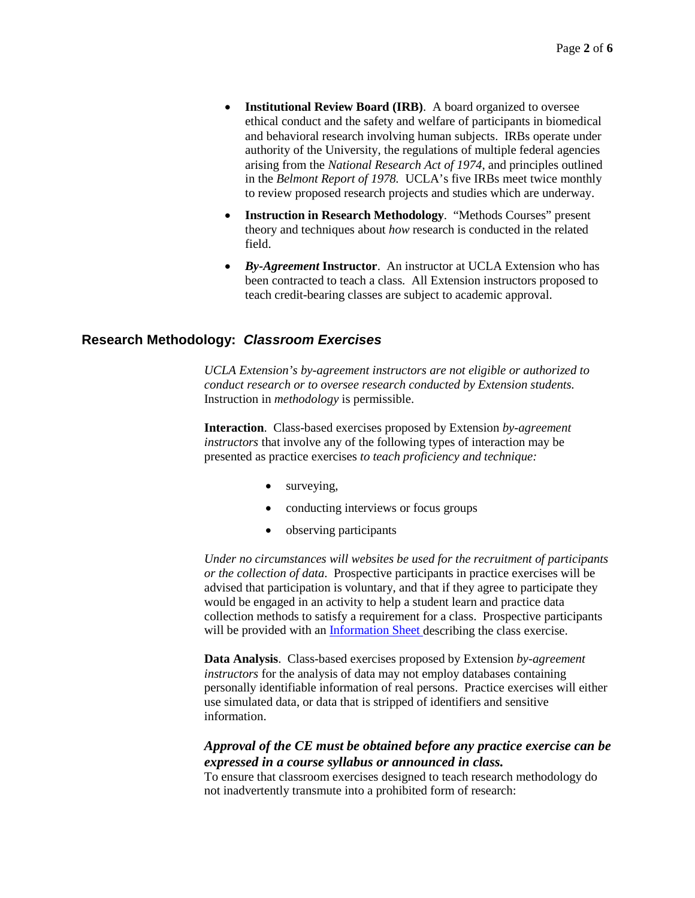- **Institutional Review Board (IRB)**. A board organized to oversee ethical conduct and the safety and welfare of participants in biomedical and behavioral research involving human subjects. IRBs operate under authority of the University, the regulations of multiple federal agencies arising from the *National Research Act of 1974*, and principles outlined in the *Belmont Report of 1978.* UCLA's five IRBs meet twice monthly to review proposed research projects and studies which are underway.
- **Instruction in Research Methodology**. "Methods Courses" present theory and techniques about *how* research is conducted in the related field.
- *By-Agreement* **Instructor**. An instructor at UCLA Extension who has been contracted to teach a class. All Extension instructors proposed to teach credit-bearing classes are subject to academic approval.

# **Research Methodology:** *Classroom Exercises*

*UCLA Extension's by-agreement instructors are not eligible or authorized to conduct research or to oversee research conducted by Extension students.* Instruction in *methodology* is permissible.

**Interaction**. Class-based exercises proposed by Extension *by-agreement instructors* that involve any of the following types of interaction may be presented as practice exercises *to teach proficiency and technique:*

- surveying,
- conducting interviews or focus groups
- observing participants

*Under no circumstances will websites be used for the recruitment of participants or the collection of data*. Prospective participants in practice exercises will be advised that participation is voluntary, and that if they agree to participate they would be engaged in an activity to help a student learn and practice data collection methods to satisfy a requirement for a class. Prospective participants will be provided with an *[Information Sheet](https://intracon.uclaextension.edu/policies/AA1081.pdf)* describing the class exercise.

**Data Analysis**. Class-based exercises proposed by Extension *by-agreement instructors* for the analysis of data may not employ databases containing personally identifiable information of real persons. Practice exercises will either use simulated data, or data that is stripped of identifiers and sensitive information.

# *Approval of the CE must be obtained before any practice exercise can be expressed in a course syllabus or announced in class.*

To ensure that classroom exercises designed to teach research methodology do not inadvertently transmute into a prohibited form of research: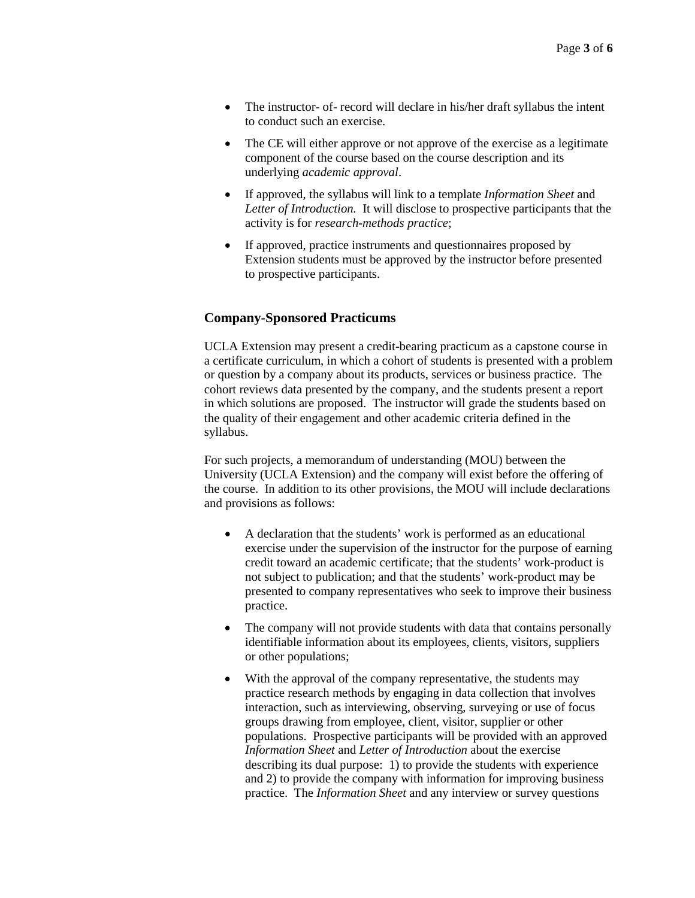- The instructor- of- record will declare in his/her draft syllabus the intent to conduct such an exercise.
- The CE will either approve or not approve of the exercise as a legitimate component of the course based on the course description and its underlying *academic approval*.
- If approved, the syllabus will link to a template *Information Sheet* and *Letter of Introduction.* It will disclose to prospective participants that the activity is for *research*-*methods practice*;
- If approved, practice instruments and questionnaires proposed by Extension students must be approved by the instructor before presented to prospective participants.

# **Company-Sponsored Practicums**

UCLA Extension may present a credit-bearing practicum as a capstone course in a certificate curriculum, in which a cohort of students is presented with a problem or question by a company about its products, services or business practice. The cohort reviews data presented by the company, and the students present a report in which solutions are proposed. The instructor will grade the students based on the quality of their engagement and other academic criteria defined in the syllabus.

For such projects, a memorandum of understanding (MOU) between the University (UCLA Extension) and the company will exist before the offering of the course. In addition to its other provisions, the MOU will include declarations and provisions as follows:

- A declaration that the students' work is performed as an educational exercise under the supervision of the instructor for the purpose of earning credit toward an academic certificate; that the students' work-product is not subject to publication; and that the students' work-product may be presented to company representatives who seek to improve their business practice.
- The company will not provide students with data that contains personally identifiable information about its employees, clients, visitors, suppliers or other populations;
- With the approval of the company representative, the students may practice research methods by engaging in data collection that involves interaction, such as interviewing, observing, surveying or use of focus groups drawing from employee, client, visitor, supplier or other populations. Prospective participants will be provided with an approved *Information Sheet* and *Letter of Introduction* about the exercise describing its dual purpose: 1) to provide the students with experience and 2) to provide the company with information for improving business practice. The *Information Sheet* and any interview or survey questions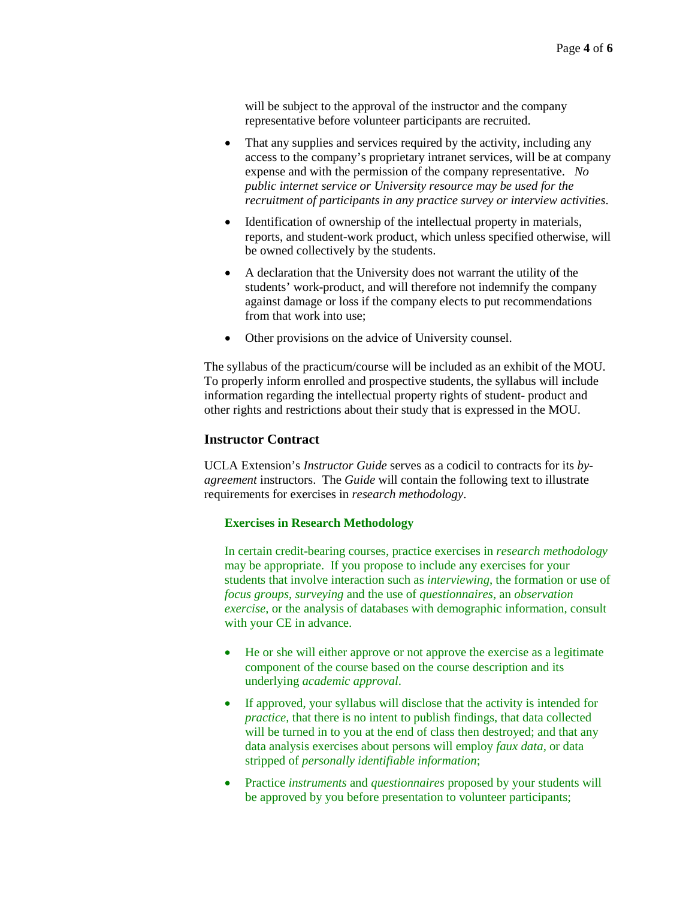will be subject to the approval of the instructor and the company representative before volunteer participants are recruited.

- That any supplies and services required by the activity, including any access to the company's proprietary intranet services, will be at company expense and with the permission of the company representative. *No public internet service or University resource may be used for the recruitment of participants in any practice survey or interview activities*.
- Identification of ownership of the intellectual property in materials, reports, and student-work product, which unless specified otherwise, will be owned collectively by the students.
- A declaration that the University does not warrant the utility of the students' work-product, and will therefore not indemnify the company against damage or loss if the company elects to put recommendations from that work into use;
- Other provisions on the advice of University counsel.

The syllabus of the practicum/course will be included as an exhibit of the MOU. To properly inform enrolled and prospective students, the syllabus will include information regarding the intellectual property rights of student- product and other rights and restrictions about their study that is expressed in the MOU.

### **Instructor Contract**

UCLA Extension's *Instructor Guide* serves as a codicil to contracts for its *byagreement* instructors. The *Guide* will contain the following text to illustrate requirements for exercises in *research methodology*.

#### **Exercises in Research Methodology**

In certain credit-bearing courses, practice exercises in *research methodology* may be appropriate. If you propose to include any exercises for your students that involve interaction such as *interviewing*, the formation or use of *focus groups*, *surveying* and the use of *questionnaires*, an *observation exercise*, or the analysis of databases with demographic information, consult with your CE in advance.

- He or she will either approve or not approve the exercise as a legitimate component of the course based on the course description and its underlying *academic approval*.
- If approved, your syllabus will disclose that the activity is intended for *practice,* that there is no intent to publish findings, that data collected will be turned in to you at the end of class then destroyed; and that any data analysis exercises about persons will employ *faux data,* or data stripped of *personally identifiable information*;
- Practice *instruments* and *questionnaires* proposed by your students will be approved by you before presentation to volunteer participants;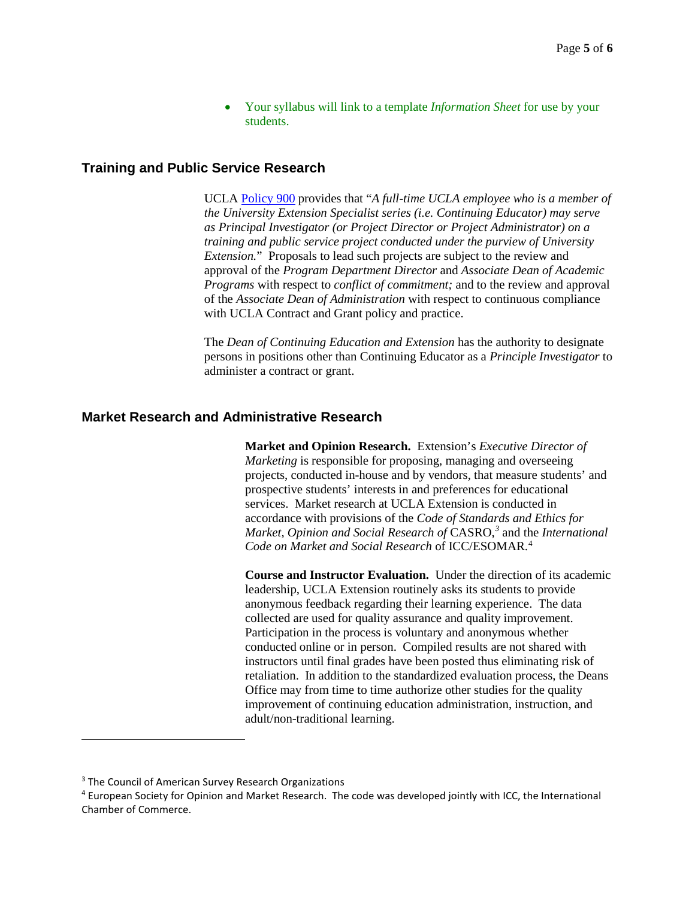• Your syllabus will link to a template *Information Sheet* for use by your students.

#### **Training and Public Service Research**

UCLA [Policy 900](http://www.adminpolicies.ucla.edu/app/Default.aspx?&id=900) provides that "*A full-time UCLA employee who is a member of the University Extension Specialist series (i.e. Continuing Educator) may serve as Principal Investigator (or Project Director or Project Administrator) on a training and public service project conducted under the purview of University Extension.*" Proposals to lead such projects are subject to the review and approval of the *Program Department Director* and *Associate Dean of Academic Programs* with respect to *conflict of commitment;* and to the review and approval of the *Associate Dean of Administration* with respect to continuous compliance with UCLA Contract and Grant policy and practice.

The *Dean of Continuing Education and Extension* has the authority to designate persons in positions other than Continuing Educator as a *Principle Investigator* to administer a contract or grant.

#### **Market Research and Administrative Research**

**Market and Opinion Research.** Extension's *Executive Director of Marketing* is responsible for proposing, managing and overseeing projects, conducted in-house and by vendors, that measure students' and prospective students' interests in and preferences for educational services. Market research at UCLA Extension is conducted in accordance with provisions of the *Code of Standards and Ethics for Market, Opinion and Social Research of* CASRO, *[3](#page-4-0)* and the *International Code on Market and Social Research* of ICC/ESOMAR.[4](#page-4-1)

**Course and Instructor Evaluation.** Under the direction of its academic leadership, UCLA Extension routinely asks its students to provide anonymous feedback regarding their learning experience. The data collected are used for quality assurance and quality improvement. Participation in the process is voluntary and anonymous whether conducted online or in person. Compiled results are not shared with instructors until final grades have been posted thus eliminating risk of retaliation. In addition to the standardized evaluation process, the Deans Office may from time to time authorize other studies for the quality improvement of continuing education administration, instruction, and adult/non-traditional learning.

l

<span id="page-4-0"></span><sup>&</sup>lt;sup>3</sup> The Council of American Survey Research Organizations

<span id="page-4-1"></span><sup>4</sup> European Society for Opinion and Market Research. The code was developed jointly with ICC, the International Chamber of Commerce.